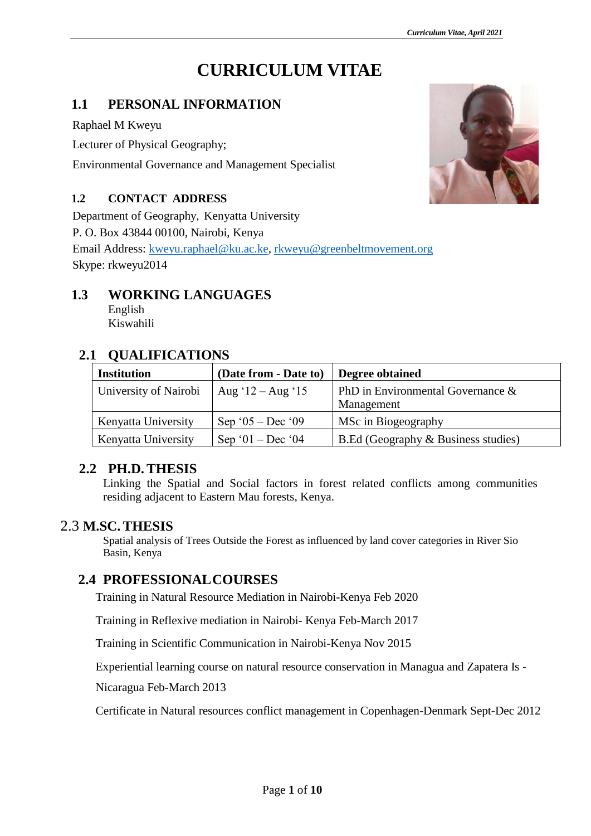# **CURRICULUM VITAE**

#### **1.1 PERSONAL INFORMATION**

Raphael M Kweyu

Lecturer of Physical Geography;

Environmental Governance and Management Specialist

#### **1.2 CONTACT ADDRESS**

Department of Geography, Kenyatta University

P. O. Box 43844 00100, Nairobi, Kenya

Email Address: [kweyu.raphael@ku.ac.ke,](mailto:kweyu.raphael@ku.ac.ke) [rkweyu@greenbeltmovement.org](mailto:rkweyu@greenbeltmovement.org) Skype: rkweyu2014

### **1.3 WORKING LANGUAGES**

English Kiswahili

## **2.1 QUALIFICATIONS**

| <b>Institution</b>    | (Date from - Date to)       | Degree obtained                                    |
|-----------------------|-----------------------------|----------------------------------------------------|
| University of Nairobi | Aug ' $12 - \text{Aug '15}$ | PhD in Environmental Governance $\&$<br>Management |
| Kenyatta University   | Sep ' $05 - Dec$ ' $09$     | MSc in Biogeography                                |
| Kenyatta University   | Sep '01 – Dec '04           | B.Ed (Geography & Business studies)                |

#### **2.2 PH.D.THESIS**

Linking the Spatial and Social factors in forest related conflicts among communities residing adjacent to Eastern Mau forests, Kenya.

#### 2.3 **M.SC.THESIS**

Spatial analysis of Trees Outside the Forest as influenced by land cover categories in River Sio Basin, Kenya

#### **2.4 PROFESSIONALCOURSES**

Training in Natural Resource Mediation in Nairobi-Kenya Feb 2020

Training in Reflexive mediation in Nairobi- Kenya Feb-March 2017

Training in Scientific Communication in Nairobi-Kenya Nov 2015

Experiential learning course on natural resource conservation in Managua and Zapatera Is -

Nicaragua Feb-March 2013

Certificate in Natural resources conflict management in Copenhagen-Denmark Sept-Dec 2012

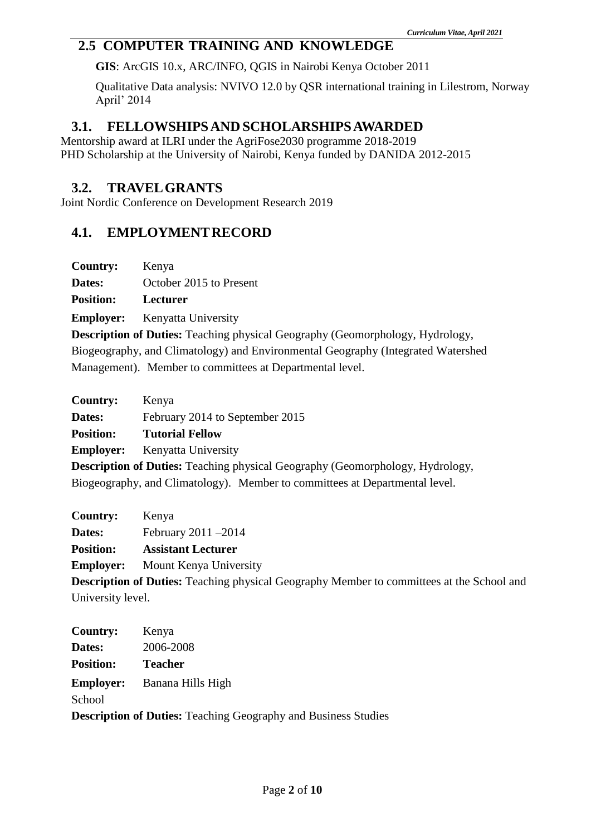#### **2.5 COMPUTER TRAINING AND KNOWLEDGE**

**GIS**: ArcGIS 10.x, ARC/INFO, QGIS in Nairobi Kenya October 2011

Qualitative Data analysis: NVIVO 12.0 by QSR international training in Lilestrom, Norway April' 2014

#### **3.1. FELLOWSHIPSAND SCHOLARSHIPSAWARDED**

Mentorship award at ILRI under the AgriFose2030 programme 2018-2019 PHD Scholarship at the University of Nairobi, Kenya funded by DANIDA 2012-2015

#### **3.2. TRAVELGRANTS**

Joint Nordic Conference on Development Research 2019

#### **4.1. EMPLOYMENTRECORD**

| <b>Country:</b><br>Kenya |  |
|--------------------------|--|
|--------------------------|--|

**Dates:** October 2015 to Present

**Position: Lecturer** 

**Employer:** Kenyatta University

**Description of Duties:** Teaching physical Geography (Geomorphology, Hydrology, Biogeography, and Climatology) and Environmental Geography (Integrated Watershed Management). Member to committees at Departmental level.

| <b>Country:</b>  | Kenya                                                                                |
|------------------|--------------------------------------------------------------------------------------|
| Dates:           | February 2014 to September 2015                                                      |
| <b>Position:</b> | <b>Tutorial Fellow</b>                                                               |
| <b>Employer:</b> | Kenyatta University                                                                  |
|                  | <b>Description of Duties:</b> Teaching physical Geography (Geomorphology, Hydrology, |

Biogeography, and Climatology). Member to committees at Departmental level.

| <b>Country:</b>   | Kenya                                                                                            |
|-------------------|--------------------------------------------------------------------------------------------------|
| Dates:            | February $2011 - 2014$                                                                           |
| <b>Position:</b>  | <b>Assistant Lecturer</b>                                                                        |
| <b>Employer:</b>  | Mount Kenya University                                                                           |
|                   | <b>Description of Duties:</b> Teaching physical Geography Member to committees at the School and |
| University level. |                                                                                                  |

| Country:                                                              | Kenya                              |  |
|-----------------------------------------------------------------------|------------------------------------|--|
| Dates:                                                                | 2006-2008                          |  |
| <b>Position:</b>                                                      | <b>Teacher</b>                     |  |
|                                                                       | <b>Employer:</b> Banana Hills High |  |
| School                                                                |                                    |  |
| <b>Description of Duties:</b> Teaching Geography and Business Studies |                                    |  |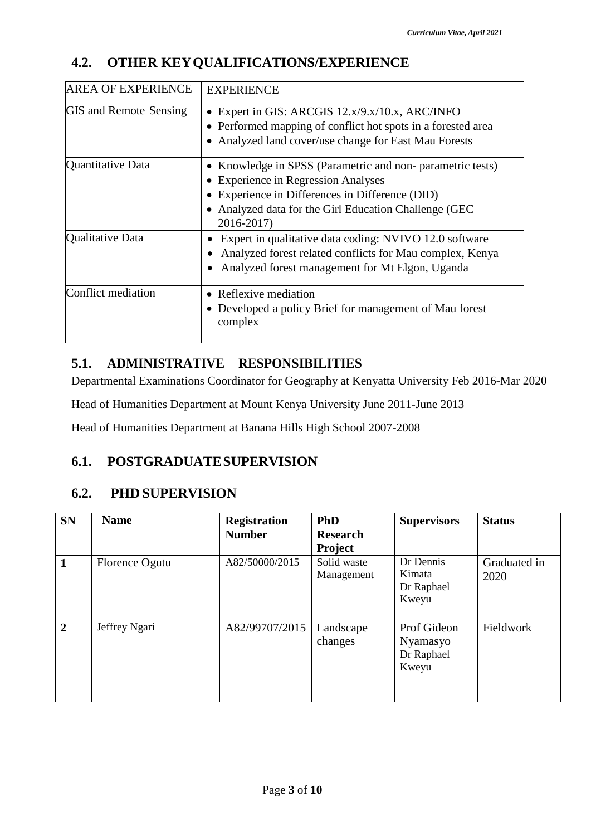## **4.2. OTHER KEYQUALIFICATIONS/EXPERIENCE**

| <b>AREA OF EXPERIENCE</b>     | <b>EXPERIENCE</b>                                                                                                                                                                                                                                    |
|-------------------------------|------------------------------------------------------------------------------------------------------------------------------------------------------------------------------------------------------------------------------------------------------|
| <b>GIS</b> and Remote Sensing | • Expert in GIS: ARCGIS $12.x/9.x/10.x$ , ARC/INFO<br>• Performed mapping of conflict hot spots in a forested area<br>Analyzed land cover/use change for East Mau Forests                                                                            |
| Quantitative Data             | Knowledge in SPSS (Parametric and non-parametric tests)<br>$\bullet$<br><b>Experience in Regression Analyses</b><br>$\bullet$<br>Experience in Differences in Difference (DID)<br>Analyzed data for the Girl Education Challenge (GEC)<br>2016-2017) |
| Qualitative Data              | Expert in qualitative data coding: NVIVO 12.0 software<br>Analyzed forest related conflicts for Mau complex, Kenya<br>Analyzed forest management for Mt Elgon, Uganda                                                                                |
| Conflict mediation            | Reflexive mediation<br>$\bullet$<br>Developed a policy Brief for management of Mau forest<br>$\bullet$<br>complex                                                                                                                                    |

## **5.1. ADMINISTRATIVE RESPONSIBILITIES**

Departmental Examinations Coordinator for Geography at Kenyatta University Feb 2016-Mar 2020

Head of Humanities Department at Mount Kenya University June 2011-June 2013

Head of Humanities Department at Banana Hills High School 2007-2008

## **6.1. POSTGRADUATESUPERVISION**

## **6.2. PHD SUPERVISION**

| <b>SN</b>      | <b>Name</b>    | <b>Registration</b> | PhD             | <b>Supervisors</b> | <b>Status</b> |
|----------------|----------------|---------------------|-----------------|--------------------|---------------|
|                |                | <b>Number</b>       | <b>Research</b> |                    |               |
|                |                |                     | <b>Project</b>  |                    |               |
|                | Florence Ogutu | A82/50000/2015      | Solid waste     | Dr Dennis          | Graduated in  |
|                |                |                     | Management      | Kimata             | 2020          |
|                |                |                     |                 | Dr Raphael         |               |
|                |                |                     |                 | Kweyu              |               |
|                |                |                     |                 |                    |               |
| $\overline{2}$ | Jeffrey Ngari  | A82/99707/2015      | Landscape       | Prof Gideon        | Fieldwork     |
|                |                |                     | changes         | Nyamasyo           |               |
|                |                |                     |                 | Dr Raphael         |               |
|                |                |                     |                 | Kweyu              |               |
|                |                |                     |                 |                    |               |
|                |                |                     |                 |                    |               |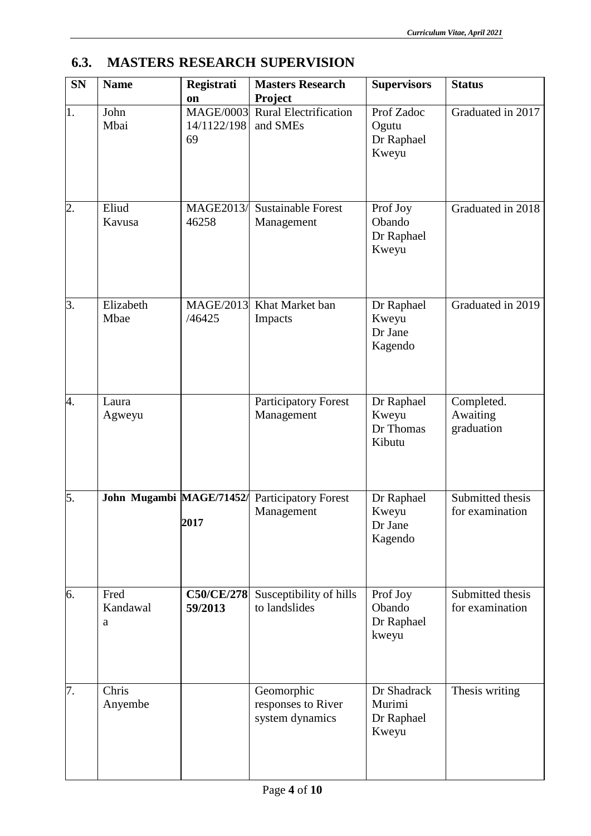#### **SN Name Registrati on Number** MAGE/0003 **Masters Research Project Supervisors Status** 1. John Mbai 14/1122/198 69 Rural Electrification and SMEs Prof Zadoc **Ogutu** Dr Raphael Kweyu Graduated in 2017 2. Eliud Kavusa MAGE2013/ 46258 Sustainable Forest Management Prof Joy Obando Dr Raphael Kweyu Graduated in 2018 3. Elizabeth Mbae MAGE/2013 /46425 Khat Market ban Impacts Dr Raphael Kweyu Dr Jane Kagendo Graduated in 2019 4. Laura Agweyu Participatory Forest Management Dr Raphael Kweyu Dr Thomas Kibutu Completed. Awaiting graduation 5. **John Mugambi MAGE/71452/ 2017** Participatory Forest Management Dr Raphael Kweyu Dr Jane Kagendo Submitted thesis for examination 6. Fred Kandawal a **C50/CE/278 59/2013** Susceptibility of hills to landslides Prof Joy Obando Dr Raphael kweyu Submitted thesis for examination 7. Chris Anyembe Geomorphic responses to River system dynamics Dr Shadrack Murimi Dr Raphael Kweyu Thesis writing

#### **6.3. MASTERS RESEARCH SUPERVISION**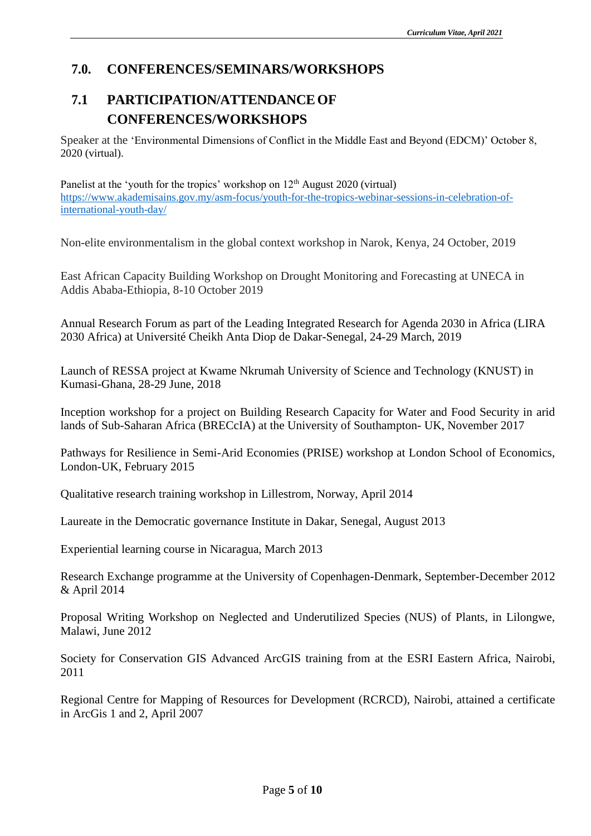### **7.0. CONFERENCES/SEMINARS/WORKSHOPS**

## **7.1 PARTICIPATION/ATTENDANCEOF CONFERENCES/WORKSHOPS**

Speaker at the 'Environmental Dimensions of Conflict in the Middle East and Beyond (EDCM)' October 8, 2020 (virtual).

Panelist at the 'youth for the tropics' workshop on  $12<sup>th</sup>$  August 2020 (virtual) [https://www.akademisains.gov.my/asm-focus/youth-for-the-tropics-webinar-sessions-in-celebration-of](https://www.akademisains.gov.my/asm-focus/youth-for-the-tropics-webinar-sessions-in-celebration-of-international-youth-day/)[international-youth-day/](https://www.akademisains.gov.my/asm-focus/youth-for-the-tropics-webinar-sessions-in-celebration-of-international-youth-day/)

Non-elite environmentalism in the global context workshop in Narok, Kenya, 24 October, 2019

East African Capacity Building Workshop on Drought Monitoring and Forecasting at UNECA in Addis Ababa-Ethiopia, 8-10 October 2019

Annual Research Forum as part of the Leading Integrated Research for Agenda 2030 in Africa (LIRA 2030 Africa) at Université Cheikh Anta Diop de Dakar-Senegal, 24-29 March, 2019

Launch of RESSA project at Kwame Nkrumah University of Science and Technology (KNUST) in Kumasi-Ghana, 28-29 June, 2018

Inception workshop for a project on Building Research Capacity for Water and Food Security in arid lands of Sub-Saharan Africa (BRECcIA) at the University of Southampton- UK, November 2017

Pathways for Resilience in Semi-Arid Economies (PRISE) workshop at London School of Economics, London-UK, February 2015

Qualitative research training workshop in Lillestrom, Norway, April 2014

Laureate in the Democratic governance Institute in Dakar, Senegal, August 2013

Experiential learning course in Nicaragua, March 2013

Research Exchange programme at the University of Copenhagen-Denmark, September-December 2012 & April 2014

Proposal Writing Workshop on Neglected and Underutilized Species (NUS) of Plants, in Lilongwe, Malawi, June 2012

Society for Conservation GIS Advanced ArcGIS training from at the ESRI Eastern Africa, Nairobi, 2011

Regional Centre for Mapping of Resources for Development (RCRCD), Nairobi, attained a certificate in ArcGis 1 and 2, April 2007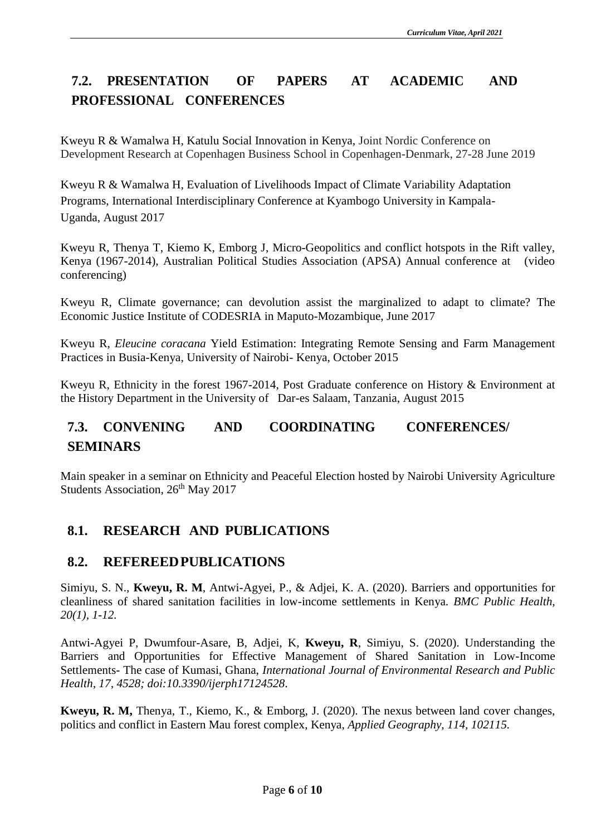## **7.2. PRESENTATION OF PAPERS AT ACADEMIC AND PROFESSIONAL CONFERENCES**

Kweyu R & Wamalwa H, Katulu Social Innovation in Kenya, Joint Nordic Conference on Development Research at Copenhagen Business School in Copenhagen-Denmark, 27-28 June 2019

Kweyu R & Wamalwa H, Evaluation of Livelihoods Impact of Climate Variability Adaptation Programs, International Interdisciplinary Conference at Kyambogo University in Kampala-Uganda, August 2017

Kweyu R, Thenya T, Kiemo K, Emborg J, Micro-Geopolitics and conflict hotspots in the Rift valley, Kenya (1967-2014), Australian Political Studies Association (APSA) Annual conference at (video conferencing)

Kweyu R, Climate governance; can devolution assist the marginalized to adapt to climate? The Economic Justice Institute of CODESRIA in Maputo-Mozambique, June 2017

Kweyu R, *Eleucine coracana* Yield Estimation: Integrating Remote Sensing and Farm Management Practices in Busia-Kenya, University of Nairobi- Kenya, October 2015

Kweyu R, Ethnicity in the forest 1967-2014, Post Graduate conference on History & Environment at the History Department in the University of Dar-es Salaam, Tanzania, August 2015

## **7.3. CONVENING AND COORDINATING CONFERENCES/ SEMINARS**

Main speaker in a seminar on Ethnicity and Peaceful Election hosted by Nairobi University Agriculture Students Association, 26<sup>th</sup> May 2017

## **8.1. RESEARCH AND PUBLICATIONS**

#### **8.2. REFEREEDPUBLICATIONS**

Simiyu, S. N., **Kweyu, R. M**, Antwi-Agyei, P., & Adjei, K. A. (2020). Barriers and opportunities for cleanliness of shared sanitation facilities in low-income settlements in Kenya. *BMC Public Health, 20(1), 1-12.*

Antwi-Agyei P, Dwumfour-Asare, B, Adjei, K, **Kweyu, R**, Simiyu, S. (2020). Understanding the Barriers and Opportunities for Effective Management of Shared Sanitation in Low-Income Settlements- The case of Kumasi, Ghana, *International Journal of Environmental Research and Public Health, 17, 4528; doi:10.3390/ijerph17124528*.

**Kweyu, R. M,** Thenya, T., Kiemo, K., & Emborg, J. (2020). The nexus between land cover changes, politics and conflict in Eastern Mau forest complex, Kenya, *Applied Geography, 114, 102115.*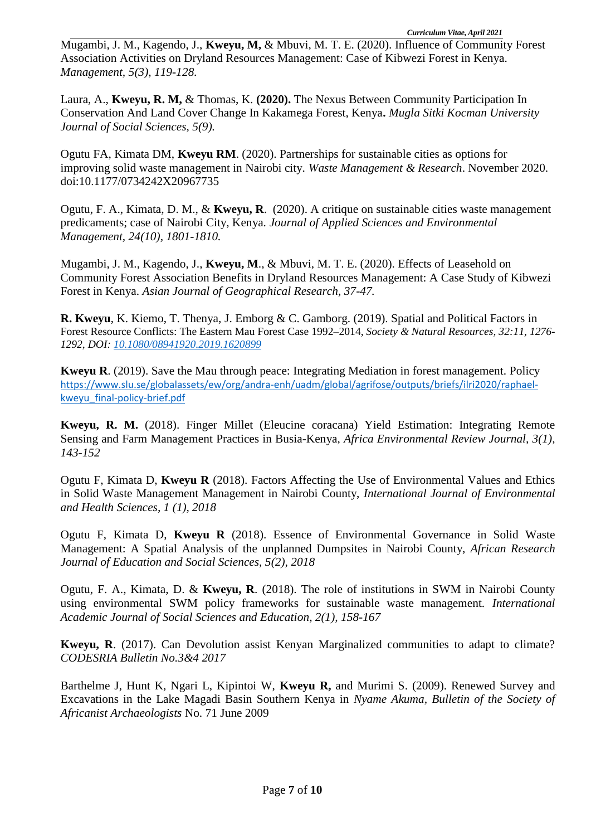Mugambi, J. M., Kagendo, J., **Kweyu, M,** & Mbuvi, M. T. E. (2020). Influence of Community Forest Association Activities on Dryland Resources Management: Case of Kibwezi Forest in Kenya. *Management, 5(3), 119-128.*

Laura, A., **Kweyu, R. M,** & Thomas, K. **(2020).** The Nexus Between Community Participation In Conservation And Land Cover Change In Kakamega Forest, Kenya**.** *Mugla Sitki Kocman University Journal of Social Sciences, 5(9).*

Ogutu FA, Kimata DM, **Kweyu RM**. (2020). Partnerships for sustainable cities as options for improving solid waste management in Nairobi city. *Waste Management & Research*. November 2020. doi:10.1177/0734242X20967735

Ogutu, F. A., Kimata, D. M., & **Kweyu, R**. (2020). A critique on sustainable cities waste management predicaments; case of Nairobi City, Kenya. *Journal of Applied Sciences and Environmental Management, 24(10), 1801-1810.*

Mugambi, J. M., Kagendo, J., **Kweyu, M**., & Mbuvi, M. T. E. (2020). Effects of Leasehold on Community Forest Association Benefits in Dryland Resources Management: A Case Study of Kibwezi Forest in Kenya. *Asian Journal of Geographical Research, 37-47.*

**R. Kweyu**, K. Kiemo, T. Thenya, J. Emborg & C. Gamborg. (2019). Spatial and Political Factors in Forest Resource Conflicts: The Eastern Mau Forest Case 1992–2014, *Society & Natural Resources, 32:11, 1276- 1292, DOI: [10.1080/08941920.2019.1620899](https://doi.org/10.1080/08941920.2019.1620899)*

**Kweyu R**. (2019). Save the Mau through peace: Integrating Mediation in forest management. Policy [https://www.slu.se/globalassets/ew/org/andra-enh/uadm/global/agrifose/outputs/briefs/ilri2020/raphael](https://www.slu.se/globalassets/ew/org/andra-enh/uadm/global/agrifose/outputs/briefs/ilri2020/raphael-kweyu_final-policy-brief.pdf)[kweyu\\_final-policy-brief.pdf](https://www.slu.se/globalassets/ew/org/andra-enh/uadm/global/agrifose/outputs/briefs/ilri2020/raphael-kweyu_final-policy-brief.pdf)

**Kweyu, R. M.** (2018). Finger Millet (Eleucine coracana) Yield Estimation: Integrating Remote Sensing and Farm Management Practices in Busia-Kenya, *Africa Environmental Review Journal, 3(1), 143-152*

Ogutu F, Kimata D, **Kweyu R** (2018). Factors Affecting the Use of Environmental Values and Ethics in Solid Waste Management Management in Nairobi County, *International Journal of Environmental and Health Sciences, 1 (1), 2018*

Ogutu F, Kimata D, **Kweyu R** (2018). Essence of Environmental Governance in Solid Waste Management: A Spatial Analysis of the unplanned Dumpsites in Nairobi County, *African Research Journal of Education and Social Sciences, 5(2), 2018*

Ogutu, F. A., Kimata, D. & **Kweyu, R**. (2018). The role of institutions in SWM in Nairobi County using environmental SWM policy frameworks for sustainable waste management. *International Academic Journal of Social Sciences and Education, 2(1), 158-167*

**Kweyu, R**. (2017). Can Devolution assist Kenyan Marginalized communities to adapt to climate? *CODESRIA Bulletin No.3&4 2017*

Barthelme J, Hunt K, Ngari L, Kipintoi W, **Kweyu R,** and Murimi S. (2009). Renewed Survey and Excavations in the Lake Magadi Basin Southern Kenya in *Nyame Akuma, Bulletin of the Society of Africanist Archaeologists* No. 71 June 2009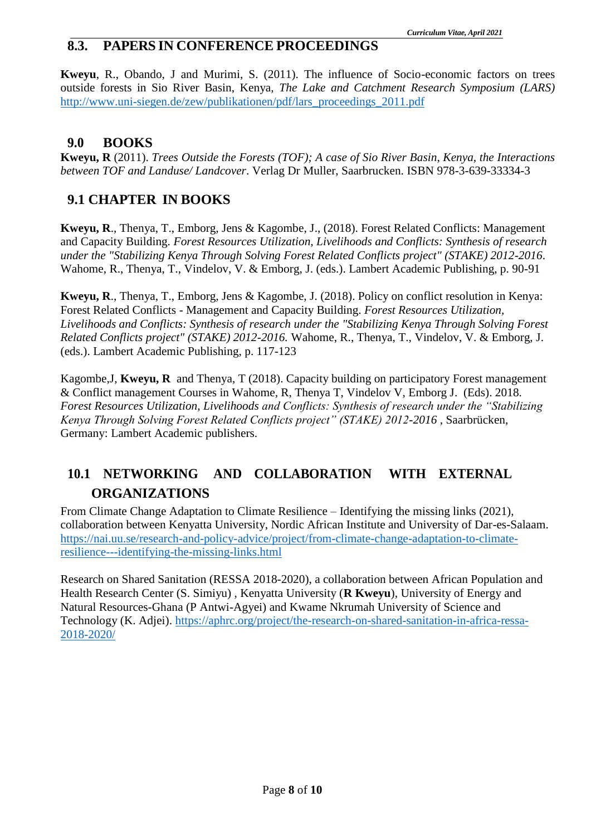### **8.3. PAPERS IN CONFERENCE PROCEEDINGS**

**Kweyu**, R., Obando, J and Murimi, S. (2011). The influence of Socio-economic factors on trees outside forests in Sio River Basin, Kenya, *The Lake and Catchment Research Symposium (LARS)*  [http://www.uni-siegen.de/zew/publikationen/pdf/lars\\_proceedings\\_2011.pdf](http://www.uni-siegen.de/zew/publikationen/pdf/lars_proceedings_2011.pdf)

#### **9.0 BOOKS**

**Kweyu, R** (2011). *Trees Outside the Forests (TOF); A case of Sio River Basin, Kenya, the Interactions between TOF and Landuse/ Landcover*. Verlag Dr Muller, Saarbrucken. ISBN 978-3-639-33334-3

## **9.1 CHAPTER IN BOOKS**

**Kweyu, R**., Thenya, T., Emborg, Jens & Kagombe, J., (2018). Forest Related Conflicts: Management and Capacity Building. *Forest Resources Utilization, Livelihoods and Conflicts: Synthesis of research under the "Stabilizing Kenya Through Solving Forest Related Conflicts project" (STAKE) 2012-2016*. Wahome, R., Thenya, T., Vindelov, V. & Emborg, J. (eds.). Lambert Academic Publishing, p. 90-91

**Kweyu, R**., Thenya, T., Emborg, Jens & Kagombe, J. (2018). Policy on conflict resolution in Kenya: Forest Related Conflicts - Management and Capacity Building. *Forest Resources Utilization, Livelihoods and Conflicts: Synthesis of research under the "Stabilizing Kenya Through Solving Forest Related Conflicts project" (STAKE) 2012-2016.* Wahome, R., Thenya, T., Vindelov, V. & Emborg, J. (eds.). Lambert Academic Publishing, p. 117-123

Kagombe,J, **Kweyu, R** and Thenya, T (2018). Capacity building on participatory Forest management & Conflict management Courses in Wahome, R, Thenya T, Vindelov V, Emborg J. (Eds). 2018. *Forest Resources Utilization, Livelihoods and Conflicts: Synthesis of research under the "Stabilizing Kenya Through Solving Forest Related Conflicts project" (STAKE) 2012-2016* , Saarbrücken, Germany: Lambert Academic publishers.

## **10.1 NETWORKING AND COLLABORATION WITH EXTERNAL ORGANIZATIONS**

From Climate Change Adaptation to Climate Resilience – Identifying the missing links (2021), collaboration between Kenyatta University, Nordic African Institute and University of Dar-es-Salaam. [https://nai.uu.se/research-and-policy-advice/project/from-climate-change-adaptation-to-climate](https://nai.uu.se/research-and-policy-advice/project/from-climate-change-adaptation-to-climate-resilience---identifying-the-missing-links.html)[resilience---identifying-the-missing-links.html](https://nai.uu.se/research-and-policy-advice/project/from-climate-change-adaptation-to-climate-resilience---identifying-the-missing-links.html)

Research on Shared Sanitation (RESSA 2018-2020), a collaboration between African Population and Health Research Center (S. Simiyu) , Kenyatta University (**R Kweyu**), University of Energy and Natural Resources-Ghana (P Antwi-Agyei) and Kwame Nkrumah University of Science and Technology (K. Adjei). [https://aphrc.org/project/the-research-on-shared-sanitation-in-africa-ressa-](https://aphrc.org/project/the-research-on-shared-sanitation-in-africa-ressa-2018-2020/)[2018-2020/](https://aphrc.org/project/the-research-on-shared-sanitation-in-africa-ressa-2018-2020/)